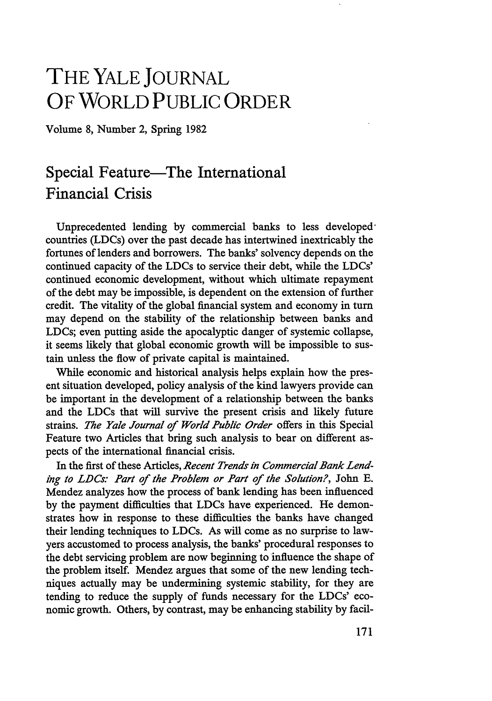## **THE YALE JOURNAL OF WORLD PUBLIC ORDER**

Volume 8, Number 2, Spring 1982

## Special Feature—The International Financial Crisis

Unprecedented lending by commercial banks to less developedcountries (LDCs) over the past decade has intertwined inextricably the fortunes of lenders and borrowers. The banks' solvency depends on the continued capacity of the LDCs to service their debt, while the LDCs' continued economic development, without which ultimate repayment of the debt may be impossible, is dependent on the extension of further credit. The vitality of the global financial system and economy in turn may depend on the stability of the relationship between banks and LDCs; even putting aside the apocalyptic danger of systemic collapse, it seems likely that global economic growth will be impossible to sustain unless the flow of private capital is maintained.

While economic and historical analysis helps explain how the present situation developed, policy analysis of the kind lawyers provide can be important in the development of a relationship between the banks and the LDCs that will survive the present crisis and likely future strains. *The Yale Journal of World Public Order* offers in this Special Feature two Articles that bring such analysis to bear on different aspects of the international financial crisis.

In the first of these Articles, *Recent Trends in Commercial Bank Lending to LDCs: Part of the Problem or Part of the Solution?,* John E. Mendez analyzes how the process of bank lending has been influenced by the payment difficulties that LDCs have experienced. He demonstrates how in response to these difficulties the banks have changed their lending techniques to LDCs. As will come as no surprise to lawyers accustomed to process analysis, the banks' procedural responses to the debt servicing problem are now beginning to influence the shape of the problem itself. Mendez argues that some of the new lending techniques actually may be undermining systemic stability, for they are tending to reduce the supply of funds necessary for the LDCs' economic growth. Others, by contrast, may be enhancing stability by facil